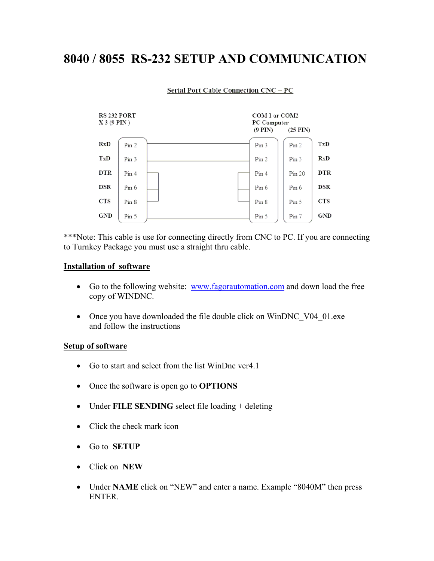## **8040 / 8055 RS-232 SETUP AND COMMUNICATION**

| <b>Serial Port Cable Connection CNC – PC</b> |                  |  |                                                                    |                  |            |  |  |  |  |
|----------------------------------------------|------------------|--|--------------------------------------------------------------------|------------------|------------|--|--|--|--|
| RS 232 PORT<br>$X$ 3 (9 PIN)                 |                  |  | COM 1 or COM2<br>PC Computer<br>$(9$ PIN $)$<br>$(25 \text{ PIN})$ |                  |            |  |  |  |  |
| RxD                                          | Pin 2            |  | Pin <sub>3</sub>                                                   | Pin 2            | TxD        |  |  |  |  |
| TxD                                          | Pin <sub>3</sub> |  | Pin 2                                                              | Pin <sub>3</sub> | RxD        |  |  |  |  |
| <b>DTR</b>                                   | Pin 4            |  | Pin <sub>4</sub>                                                   | Pin 20           | <b>DTR</b> |  |  |  |  |
| <b>DSR</b>                                   | $P_{111}$ 6      |  | Pin 6                                                              | $P_{1n}$ 6       | <b>DSR</b> |  |  |  |  |
| <b>CTS</b>                                   | Pin 8            |  | Pin 8                                                              | Pin 5            | <b>CTS</b> |  |  |  |  |
| GND                                          | Pin 5            |  | Pin 5                                                              | Pin 7            | GND        |  |  |  |  |

\*\*\*Note: This cable is use for connecting directly from CNC to PC. If you are connecting to Turnkey Package you must use a straight thru cable.

## **Installation of software**

- Go to the following website: [www.fagorautomation.com](http://www.fagorautomation.com/) and down load the free copy of WINDNC.
- Once you have downloaded the file double click on WinDNC\_V04\_01.exe and follow the instructions

## **Setup of software**

- Go to start and select from the list WinDnc ver4.1
- Once the software is open go to **OPTIONS**
- Under **FILE SENDING** select file loading + deleting
- Click the check mark icon
- Go to **SETUP**
- Click on **NEW**
- Under **NAME** click on "NEW" and enter a name. Example "8040M" then press ENTER.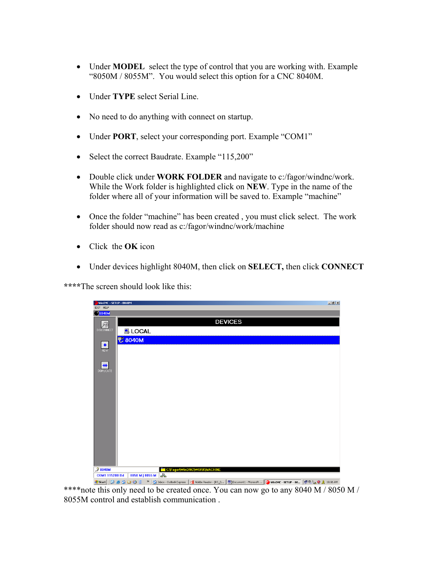- Under **MODEL** select the type of control that you are working with. Example "8050M / 8055M". You would select this option for a CNC 8040M.
- Under **TYPE** select Serial Line.
- No need to do anything with connect on startup.
- Under **PORT**, select your corresponding port. Example "COM1"
- Select the correct Baudrate. Example "115,200"
- Double click under **WORK FOLDER** and navigate to c:/fagor/windnc/work. While the Work folder is highlighted click on **NEW**. Type in the name of the folder where all of your information will be saved to. Example "machine"
- Once the folder "machine" has been created , you must click select. The work folder should now read as c:/fagor/windnc/work/machine
- Click the **OK** icon
- Under devices highlight 8040M, then click on **SELECT,** then click **CONNECT**

**\*\*\*\***The screen should look like this:



\*\*\*\*note this only need to be created once. You can now go to any 8040 M / 8050 M / 8055M control and establish communication .